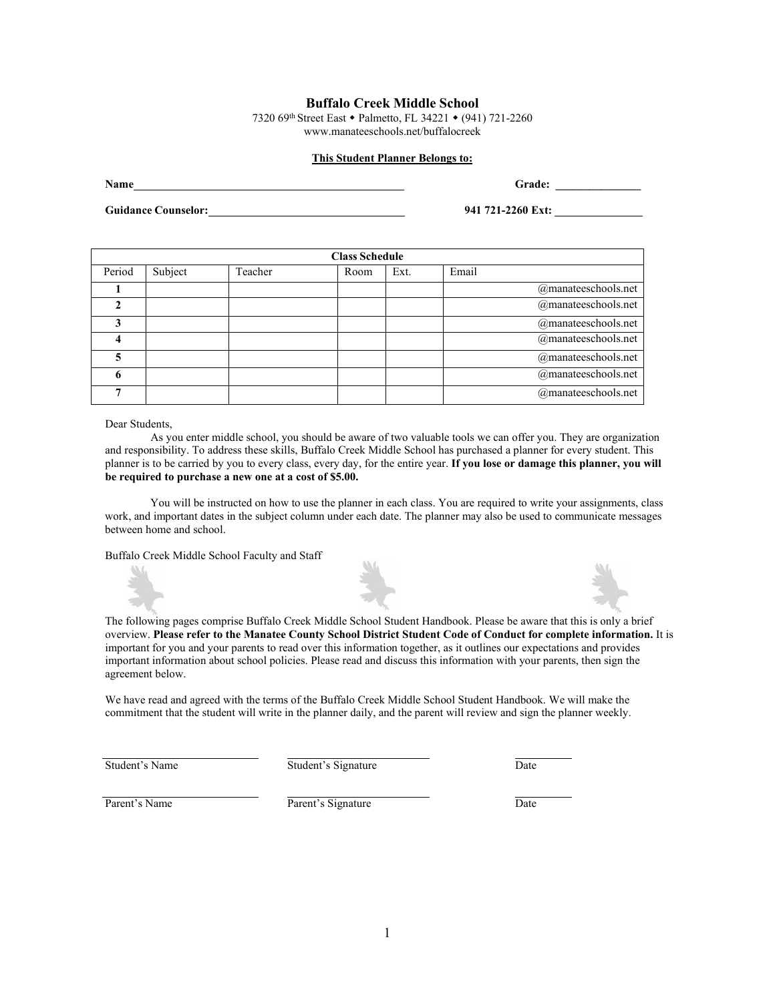# **Buffalo Creek Middle School**

732[0](http://www.edline.net/pages/sdmcbuffalocreekms) 69th Street East • Palmetto, FL 34221 • (941) 721-2260 [www.manateeschools.net/buffalocreek](http://www.edline.net/pages/sdmcbuffalocreekms)

# **This Student Planner Belongs to:**

**Name Grade: Grade: Grade: Grade: Grade: Grade: Grade: Grade: Grade: Grade: Grade: Grade: Grade: Grade: Grade: Grade: Grade: Grade: Grade: Grade: Grade: Grade: Grade: Grade:** 

**Guidance Counselor: 941 721-2260 Ext:** 

| <b>Class Schedule</b> |         |         |      |      |       |                        |
|-----------------------|---------|---------|------|------|-------|------------------------|
| Period                | Subject | Teacher | Room | Ext. | Email |                        |
|                       |         |         |      |      |       | @manateeschools.net    |
|                       |         |         |      |      |       | @manateeschools.net    |
|                       |         |         |      |      |       | @manateeschools.net    |
|                       |         |         |      |      |       | @manateeschools.net    |
|                       |         |         |      |      |       | @manateeschools.net    |
|                       |         |         |      |      |       | @manateeschools.net    |
|                       |         |         |      |      |       | $@$ manateeschools.net |

#### Dear Students,

As you enter middle school, you should be aware of two valuable tools we can offer you. They are organization and responsibility. To address these skills, Buffalo Creek Middle School has purchased a planner for every student. This planner is to be carried by you to every class, every day, for the entire year. **If you lose or damage this planner, you will be required to purchase a new one at a cost of \$5.00.**

You will be instructed on how to use the planner in each class. You are required to write your assignments, class work, and important dates in the subject column under each date. The planner may also be used to communicate messages between home and school.

Buffalo Creek Middle School Faculty and Staff





The following pages comprise Buffalo Creek Middle School Student Handbook. Please be aware that this is only a brief overview. **Please refer to the Manatee County School District Student Code of Conduct for complete information.** It is important for you and your parents to read over this information together, as it outlines our expectations and provides important information about school policies. Please read and discuss this information with your parents, then sign the agreement below.

We have read and agreed with the terms of the Buffalo Creek Middle School Student Handbook. We will make the commitment that the student will write in the planner daily, and the parent will review and sign the planner weekly.

Student's Name Student's Signature Date

Parent's Name **Parent's Signature** Date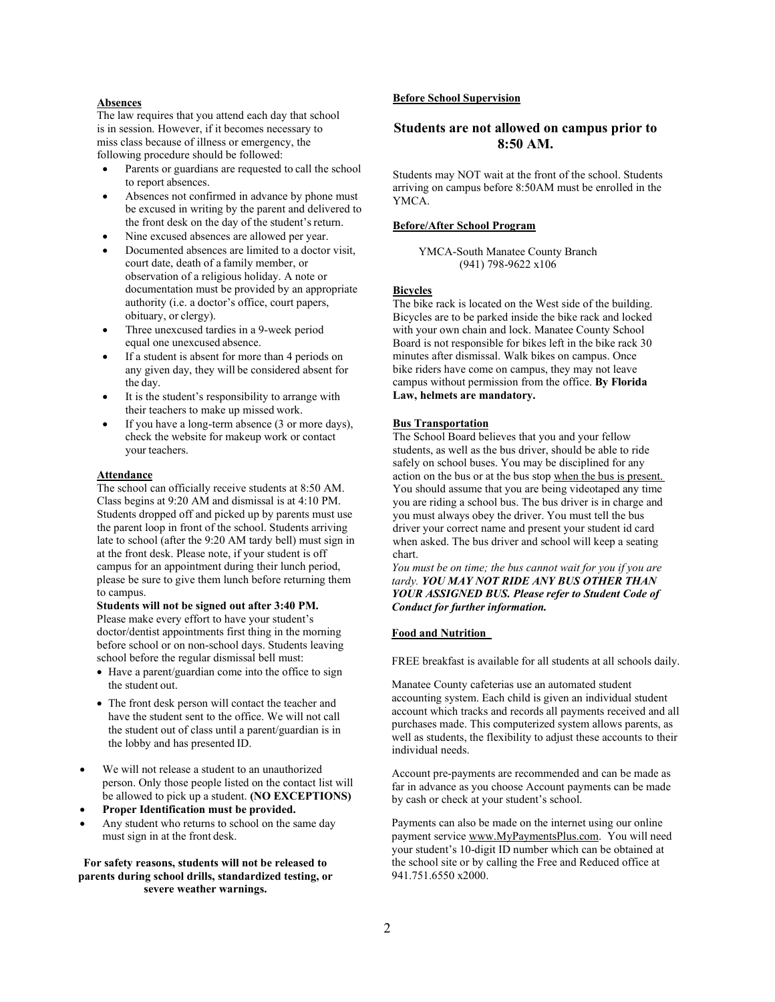#### **Absences**

The law requires that you attend each day that school is in session. However, if it becomes necessary to miss class because of illness or emergency, the following procedure should be followed:

- Parents or guardians are requested to call the school to report absences.
- Absences not confirmed in advance by phone must be excused in writing by the parent and delivered to the front desk on the day of the student's return.
- Nine excused absences are allowed per year.
- Documented absences are limited to a doctor visit, court date, death of a family member, or observation of a religious holiday. A note or documentation must be provided by an appropriate authority (i.e. a doctor's office, court papers, obituary, or clergy).
- Three unexcused tardies in a 9-week period equal one unexcused absence.
- If a student is absent for more than 4 periods on any given day, they will be considered absent for the day.
- It is the student's responsibility to arrange with their teachers to make up missed work.
- If you have a long-term absence (3 or more days), check the website for makeup work or contact your teachers.

### **Attendance**

The school can officially receive students at 8:50 AM. Class begins at 9:20 AM and dismissal is at 4:10 PM. Students dropped off and picked up by parents must use the parent loop in front of the school. Students arriving late to school (after the 9:20 AM tardy bell) must sign in at the front desk. Please note, if your student is off campus for an appointment during their lunch period, please be sure to give them lunch before returning them to campus.

**Students will not be signed out after 3:40 PM.** Please make every effort to have your student's doctor/dentist appointments first thing in the morning before school or on non-school days. Students leaving school before the regular dismissal bell must:

- Have a parent/guardian come into the office to sign the student out.
- The front desk person will contact the teacher and have the student sent to the office. We will not call the student out of class until a parent/guardian is in the lobby and has presented ID.
- We will not release a student to an unauthorized person. Only those people listed on the contact list will be allowed to pick up a student. **(NO EXCEPTIONS)**
- **Proper Identification must be provided.**
- Any student who returns to school on the same day must sign in at the front desk.

**For safety reasons, students will not be released to parents during school drills, standardized testing, or severe weather warnings.**

# **Before School Supervision**

# **Students are not allowed on campus prior to 8:50 AM.**

Students may NOT wait at the front of the school. Students arriving on campus before 8:50AM must be enrolled in the YMCA.

#### **Before/After School Program**

YMCA-South Manatee County Branch (941) 798-9622 x106

# **Bicycles**

The bike rack is located on the West side of the building. Bicycles are to be parked inside the bike rack and locked with your own chain and lock. Manatee County School Board is not responsible for bikes left in the bike rack 30 minutes after dismissal. Walk bikes on campus. Once bike riders have come on campus, they may not leave campus without permission from the office. **By Florida Law, helmets are mandatory.**

### **Bus Transportation**

The School Board believes that you and your fellow students, as well as the bus driver, should be able to ride safely on school buses. You may be disciplined for any action on the bus or at the bus stop when the bus is present. You should assume that you are being videotaped any time you are riding a school bus. The bus driver is in charge and you must always obey the driver. You must tell the bus driver your correct name and present your student id card when asked. The bus driver and school will keep a seating chart.

*You must be on time; the bus cannot wait for you if you are tardy. YOU MAY NOT RIDE ANY BUS OTHER THAN YOUR ASSIGNED BUS. Please refer to Student Code of Conduct for further information.*

#### **Food and Nutrition**

FREE breakfast is available for all students at all schools daily.

Manatee County cafeterias use an automated student accounting system. Each child is given an individual student account which tracks and records all payments received and all purchases made. This computerized system allows parents, as well as students, the flexibility to adjust these accounts to their individual needs.

Account pre-payments are recommended and can be made as far in advance as you choose Account payments can be made by cash or check at your student's school.

Payments can also be made on the internet using our online payment servic[e](http://www.mealpayplus.com/) [www.MyPaymentsPlus.com.](http://www.mealpayplus.com/) You will need your student's 10-digit ID number which can be obtained at the school site or by calling the Free and Reduced office at 941.751.6550 x2000.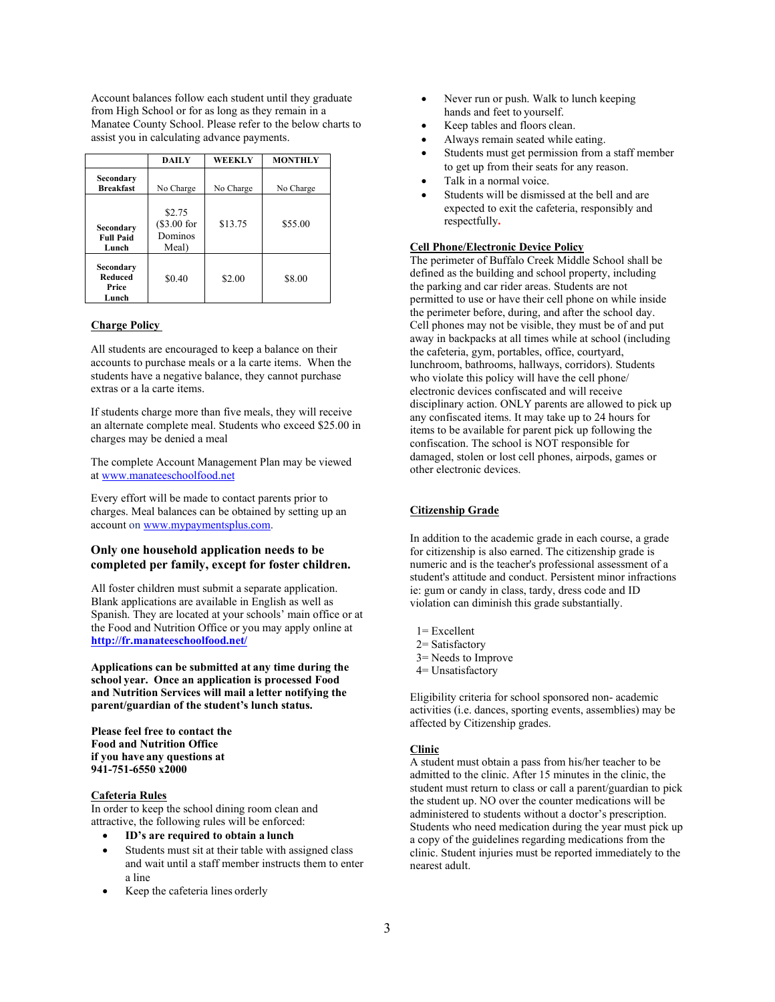Account balances follow each student until they graduate from High School or for as long as they remain in a Manatee County School. Please refer to the below charts to assist you in calculating advance payments.

|                                               | <b>DAILY</b>                                | <b>WEEKLY</b> | <b>MONTHLY</b> |  |
|-----------------------------------------------|---------------------------------------------|---------------|----------------|--|
| Secondary<br><b>Breakfast</b>                 | No Charge                                   |               | No Charge      |  |
| Secondary<br><b>Full Paid</b><br>Lunch        | \$2.75<br>$(\$3.00 for$<br>Dominos<br>Meal) | \$13.75       | \$55.00        |  |
| Secondary<br><b>Reduced</b><br>Price<br>Lunch | \$0.40                                      | \$2.00        | \$8.00         |  |

# **Charge Policy**

All students are encouraged to keep a balance on their accounts to purchase meals or a la carte items. When the students have a negative balance, they cannot purchase extras or a la carte items.

If students charge more than five meals, they will receive an alternate complete meal. Students who exceed \$25.00 in charges may be denied a meal

The complete Account Management Plan may be viewed [at www.manateeschoolfood.net](http://www.manateeschoolfood.net/)

Every effort will be made to contact parents prior to charges. Meal balances can be obtained by setting up an account o[n](http://www.mypaymentsplus.com/) [www.mypaymentsplus.com](http://www.mypaymentsplus.com/).

# **Only one household application needs to be completed per family, except for foster children.**

All foster children must submit a separate application. Blank applications are available in English as well as Spanish. They are located at your schools' main office or at the Food and Nutrition Office or you may apply online at **<http://fr.manateeschoolfood.net/>**

**Applications can be submitted at any time during the school year. Once an application is processed Food and Nutrition Services will mail a letter notifying the parent/guardian of the student's lunch status.**

**Please feel free to contact the Food and Nutrition Office if you have any questions at 941-751-6550 x2000**

# **Cafeteria Rules**

In order to keep the school dining room clean and attractive, the following rules will be enforced:

- **ID's are required to obtain a lunch**
- Students must sit at their table with assigned class and wait until a staff member instructs them to enter a line
- Keep the cafeteria lines orderly
- Never run or push. Walk to lunch keeping hands and feet to yourself.
- Keep tables and floors clean.
- Always remain seated while eating.
- Students must get permission from a staff member to get up from their seats for any reason.
- Talk in a normal voice.
- Students will be dismissed at the bell and are expected to exit the cafeteria, responsibly and respectfully**.**

### **Cell Phone/Electronic Device Policy**

The perimeter of Buffalo Creek Middle School shall be defined as the building and school property, including the parking and car rider areas. Students are not permitted to use or have their cell phone on while inside the perimeter before, during, and after the school day. Cell phones may not be visible, they must be of and put away in backpacks at all times while at school (including the cafeteria, gym, portables, office, courtyard, lunchroom, bathrooms, hallways, corridors). Students who violate this policy will have the cell phone/ electronic devices confiscated and will receive disciplinary action. ONLY parents are allowed to pick up any confiscated items. It may take up to 24 hours for items to be available for parent pick up following the confiscation. The school is NOT responsible for damaged, stolen or lost cell phones, airpods, games or other electronic devices.

### **Citizenship Grade**

In addition to the academic grade in each course, a grade for citizenship is also earned. The citizenship grade is numeric and is the teacher's professional assessment of a student's attitude and conduct. Persistent minor infractions ie: gum or candy in class, tardy, dress code and ID violation can diminish this grade substantially.

- 1= Excellent
- 2= Satisfactory
- 3= Needs to Improve
- 4= Unsatisfactory

Eligibility criteria for school sponsored non- academic activities (i.e. dances, sporting events, assemblies) may be affected by Citizenship grades.

# **Clinic**

A student must obtain a pass from his/her teacher to be admitted to the clinic. After 15 minutes in the clinic, the student must return to class or call a parent/guardian to pick the student up. NO over the counter medications will be administered to students without a doctor's prescription. Students who need medication during the year must pick up a copy of the guidelines regarding medications from the clinic. Student injuries must be reported immediately to the nearest adult.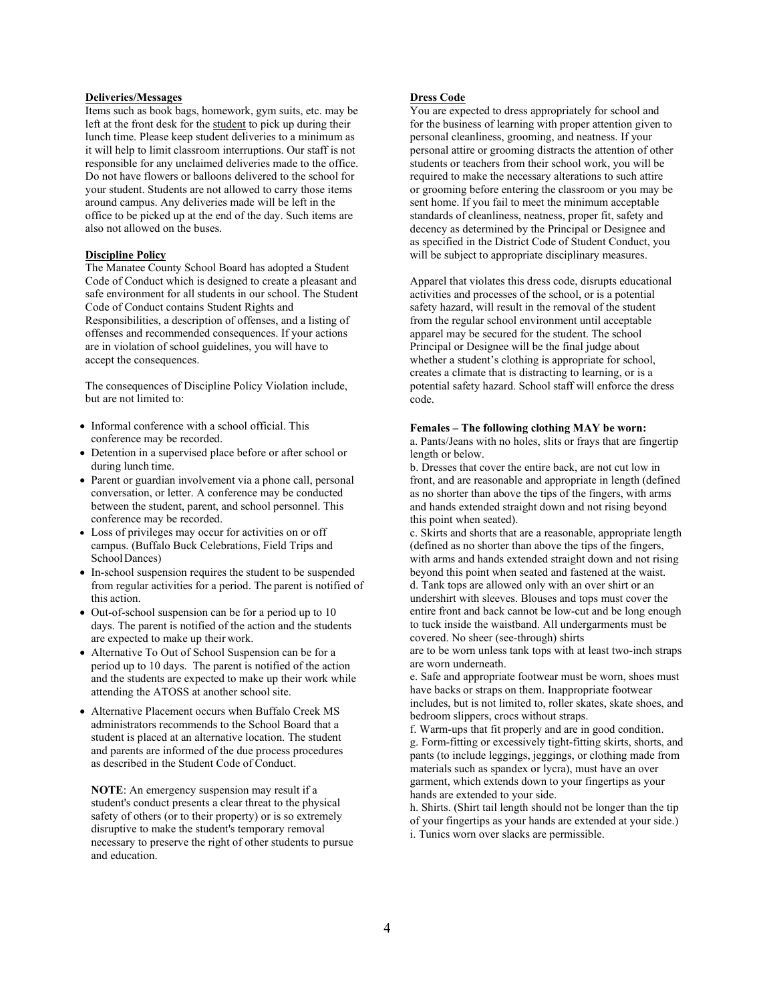# **Deliveries/Messages**

Items such as book bags, homework, gym suits, etc. may be left at the front desk for the student to pick up during their lunch time. Please keep student deliveries to a minimum as it will help to limit classroom interruptions. Our staff is not responsible for any unclaimed deliveries made to the office. Do not have flowers or balloons delivered to the school for your student. Students are not allowed to carry those items around campus. Any deliveries made will be left in the office to be picked up at the end of the day. Such items are also not allowed on the buses.

### **Discipline Policy**

The Manatee County School Board has adopted a Student Code of Conduct which is designed to create a pleasant and safe environment for all students in our school. The Student Code of Conduct contains Student Rights and Responsibilities, a description of offenses, and a listing of offenses and recommended consequences. If your actions are in violation of school guidelines, you will have to accept the consequences.

The consequences of Discipline Policy Violation include, but are not limited to:

- Informal conference with a school official. This conference may be recorded.
- Detention in a supervised place before or after school or during lunch time.
- Parent or guardian involvement via a phone call, personal conversation, or letter. A conference may be conducted between the student, parent, and school personnel. This conference may be recorded.
- Loss of privileges may occur for activities on or off campus. (Buffalo Buck Celebrations, Field Trips and SchoolDances)
- In-school suspension requires the student to be suspended from regular activities for a period. The parent is notified of this action.
- Out-of-school suspension can be for a period up to 10 days. The parent is notified of the action and the students are expected to make up their work.
- Alternative To Out of School Suspension can be for a period up to 10 days. The parent is notified of the action and the students are expected to make up their work while attending the ATOSS at another school site.
- Alternative Placement occurs when Buffalo Creek MS administrators recommends to the School Board that a student is placed at an alternative location. The student and parents are informed of the due process procedures as described in the Student Code of Conduct.

**NOTE**: An emergency suspension may result if a student's conduct presents a clear threat to the physical safety of others (or to their property) or is so extremely disruptive to make the student's temporary removal necessary to preserve the right of other students to pursue and education.

# **Dress Code**

You are expected to dress appropriately for school and for the business of learning with proper attention given to personal cleanliness, grooming, and neatness. If your personal attire or grooming distracts the attention of other students or teachers from their school work, you will be required to make the necessary alterations to such attire or grooming before entering the classroom or you may be sent home. If you fail to meet the minimum acceptable standards of cleanliness, neatness, proper fit, safety and decency as determined by the Principal or Designee and as specified in the District Code of Student Conduct, you will be subject to appropriate disciplinary measures.

Apparel that violates this dress code, disrupts educational activities and processes of the school, or is a potential safety hazard, will result in the removal of the student from the regular school environment until acceptable apparel may be secured for the student. The school Principal or Designee will be the final judge about whether a student's clothing is appropriate for school, creates a climate that is distracting to learning, or is a potential safety hazard. School staff will enforce the dress code.

# **Females – The following clothing MAY be worn:**

a. Pants/Jeans with no holes, slits or frays that are fingertip length or below.

b. Dresses that cover the entire back, are not cut low in front, and are reasonable and appropriate in length (defined as no shorter than above the tips of the fingers, with arms and hands extended straight down and not rising beyond this point when seated).

c. Skirts and shorts that are a reasonable, appropriate length (defined as no shorter than above the tips of the fingers, with arms and hands extended straight down and not rising beyond this point when seated and fastened at the waist. d. Tank tops are allowed only with an over shirt or an undershirt with sleeves. Blouses and tops must cover the entire front and back cannot be low-cut and be long enough to tuck inside the waistband. All undergarments must be covered. No sheer (see-through) shirts

are to be worn unless tank tops with at least two-inch straps are worn underneath.

e. Safe and appropriate footwear must be worn, shoes must have backs or straps on them. Inappropriate footwear includes, but is not limited to, roller skates, skate shoes, and bedroom slippers, crocs without straps.

f. Warm-ups that fit properly and are in good condition. g. Form-fitting or excessively tight-fitting skirts, shorts, and pants (to include leggings, jeggings, or clothing made from materials such as spandex or lycra), must have an over garment, which extends down to your fingertips as your hands are extended to your side.

h. Shirts. (Shirt tail length should not be longer than the tip of your fingertips as your hands are extended at your side.) i. Tunics worn over slacks are permissible.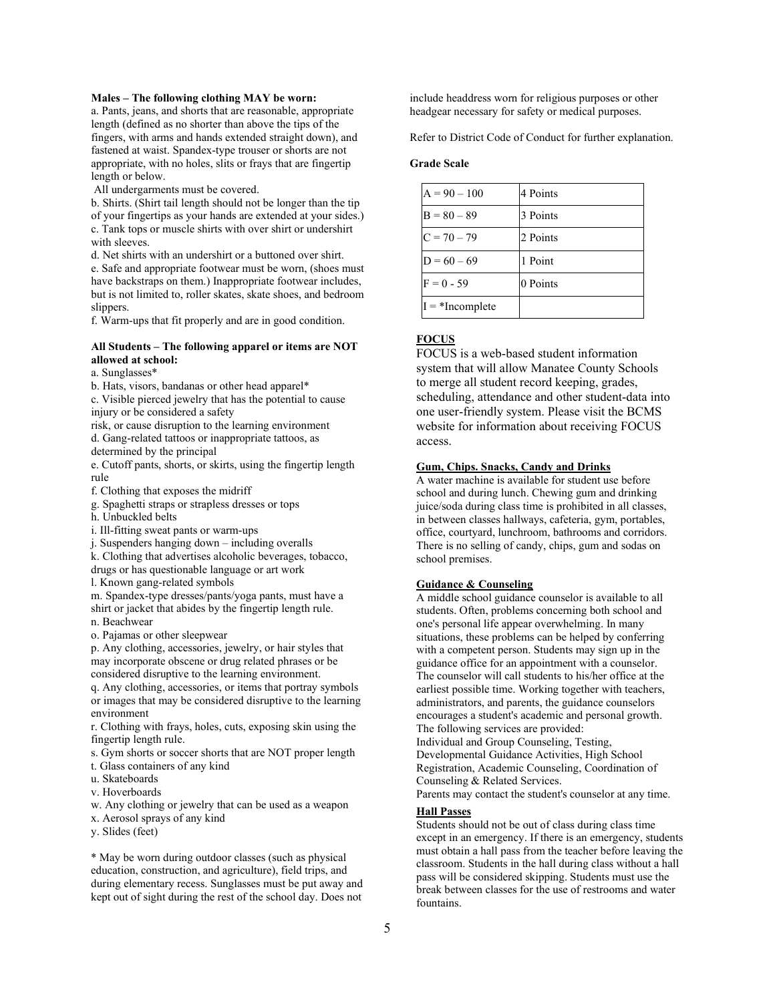# **Males – The following clothing MAY be worn:**

a. Pants, jeans, and shorts that are reasonable, appropriate length (defined as no shorter than above the tips of the fingers, with arms and hands extended straight down), and fastened at waist. Spandex-type trouser or shorts are not appropriate, with no holes, slits or frays that are fingertip length or below.

All undergarments must be covered.

b. Shirts. (Shirt tail length should not be longer than the tip of your fingertips as your hands are extended at your sides.) c. Tank tops or muscle shirts with over shirt or undershirt with sleeves.

d. Net shirts with an undershirt or a buttoned over shirt.

e. Safe and appropriate footwear must be worn, (shoes must have backstraps on them.) Inappropriate footwear includes, but is not limited to, roller skates, skate shoes, and bedroom slippers.

f. Warm-ups that fit properly and are in good condition.

# **All Students – The following apparel or items are NOT allowed at school:**

a. Sunglasses\*

b. Hats, visors, bandanas or other head apparel\*

c. Visible pierced jewelry that has the potential to cause injury or be considered a safety

risk, or cause disruption to the learning environment d. Gang-related tattoos or inappropriate tattoos, as determined by the principal

e. Cutoff pants, shorts, or skirts, using the fingertip length rule

f. Clothing that exposes the midriff

g. Spaghetti straps or strapless dresses or tops

h. Unbuckled belts

i. Ill-fitting sweat pants or warm-ups

j. Suspenders hanging down – including overalls

k. Clothing that advertises alcoholic beverages, tobacco, drugs or has questionable language or art work

l. Known gang-related symbols

m. Spandex-type dresses/pants/yoga pants, must have a shirt or jacket that abides by the fingertip length rule. n. Beachwear

o. Pajamas or other sleepwear

p. Any clothing, accessories, jewelry, or hair styles that may incorporate obscene or drug related phrases or be considered disruptive to the learning environment.

q. Any clothing, accessories, or items that portray symbols or images that may be considered disruptive to the learning environment

r. Clothing with frays, holes, cuts, exposing skin using the fingertip length rule.

s. Gym shorts or soccer shorts that are NOT proper length

t. Glass containers of any kind

- u. Skateboards
- v. Hoverboards

w. Any clothing or jewelry that can be used as a weapon

x. Aerosol sprays of any kind

y. Slides (feet)

\* May be worn during outdoor classes (such as physical education, construction, and agriculture), field trips, and during elementary recess. Sunglasses must be put away and kept out of sight during the rest of the school day. Does not

include headdress worn for religious purposes or other headgear necessary for safety or medical purposes.

Refer to District Code of Conduct for further explanation.

#### **Grade Scale**

| $A = 90 - 100$    | 4 Points |
|-------------------|----------|
| $B = 80 - 89$     | 3 Points |
| $C = 70 - 79$     | 2 Points |
| $D = 60 - 69$     | 1 Point  |
| $F = 0 - 59$      | 0 Points |
| $I = *Incomplete$ |          |

# **FOCUS**

FOCUS is a web-based student information system that will allow Manatee County Schools to merge all student record keeping, grades, scheduling, attendance and other student-data into one user-friendly system. Please visit the BCMS website for information about receiving FOCUS access.

### **Gum, Chips. Snacks, Candy and Drinks**

A water machine is available for student use before school and during lunch. Chewing gum and drinking juice/soda during class time is prohibited in all classes, in between classes hallways, cafeteria, gym, portables, office, courtyard, lunchroom, bathrooms and corridors. There is no selling of candy, chips, gum and sodas on school premises.

# **Guidance & Counseling**

A middle school guidance counselor is available to all students. Often, problems concerning both school and one's personal life appear overwhelming. In many situations, these problems can be helped by conferring with a competent person. Students may sign up in the guidance office for an appointment with a counselor. The counselor will call students to his/her office at the earliest possible time. Working together with teachers, administrators, and parents, the guidance counselors encourages a student's academic and personal growth. The following services are provided:

Individual and Group Counseling, Testing, Developmental Guidance Activities, High School Registration, Academic Counseling, Coordination of Counseling & Related Services.

Parents may contact the student's counselor at any time.

# **Hall Passes**

Students should not be out of class during class time except in an emergency. If there is an emergency, students must obtain a hall pass from the teacher before leaving the classroom. Students in the hall during class without a hall pass will be considered skipping. Students must use the break between classes for the use of restrooms and water fountains.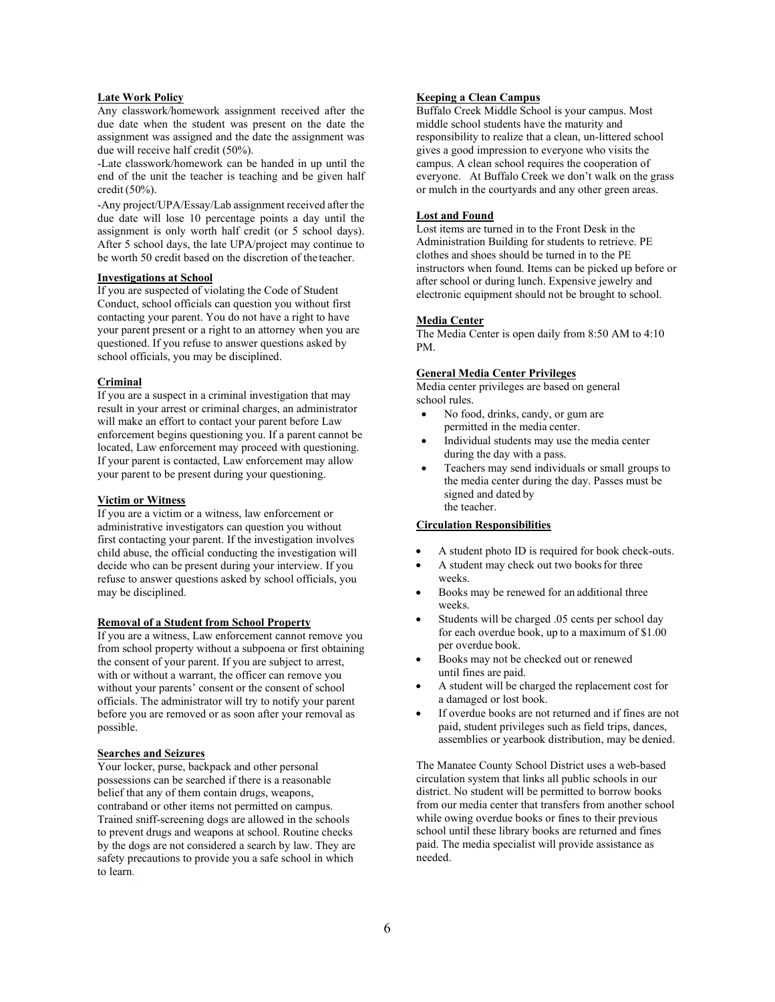# **Late Work Policy**

Any classwork/homework assignment received after the due date when the student was present on the date the assignment was assigned and the date the assignment was due will receive half credit (50%).

-Late classwork/homework can be handed in up until the end of the unit the teacher is teaching and be given half credit (50%).

-Any project/UPA/Essay/Lab assignment received after the due date will lose 10 percentage points a day until the assignment is only worth half credit (or 5 school days). After 5 school days, the late UPA/project may continue to be worth 50 credit based on the discretion of the teacher.

# **Investigations at School**

If you are suspected of violating the Code of Student Conduct, school officials can question you without first contacting your parent. You do not have a right to have your parent present or a right to an attorney when you are questioned. If you refuse to answer questions asked by school officials, you may be disciplined.

### **Criminal**

If you are a suspect in a criminal investigation that may result in your arrest or criminal charges, an administrator will make an effort to contact your parent before Law enforcement begins questioning you. If a parent cannot be located, Law enforcement may proceed with questioning. If your parent is contacted, Law enforcement may allow your parent to be present during your questioning.

# **Victim or Witness**

If you are a victim or a witness, law enforcement or administrative investigators can question you without first contacting your parent. If the investigation involves child abuse, the official conducting the investigation will decide who can be present during your interview. If you refuse to answer questions asked by school officials, you may be disciplined.

# **Removal of a Student from School Property**

If you are a witness, Law enforcement cannot remove you from school property without a subpoena or first obtaining the consent of your parent. If you are subject to arrest, with or without a warrant, the officer can remove you without your parents' consent or the consent of school officials. The administrator will try to notify your parent before you are removed or as soon after your removal as possible.

# **Searches and Seizures**

Your locker, purse, backpack and other personal possessions can be searched if there is a reasonable belief that any of them contain drugs, weapons, contraband or other items not permitted on campus. Trained sniff-screening dogs are allowed in the schools to prevent drugs and weapons at school. Routine checks by the dogs are not considered a search by law. They are safety precautions to provide you a safe school in which to learn.

# **Keeping a Clean Campus**

Buffalo Creek Middle School is your campus. Most middle school students have the maturity and responsibility to realize that a clean, un-littered school gives a good impression to everyone who visits the campus. A clean school requires the cooperation of everyone. At Buffalo Creek we don't walk on the grass or mulch in the courtyards and any other green areas.

### **Lost and Found**

Lost items are turned in to the Front Desk in the Administration Building for students to retrieve. PE clothes and shoes should be turned in to the PE instructors when found. Items can be picked up before or after school or during lunch. Expensive jewelry and electronic equipment should not be brought to school.

### **Media Center**

The Media Center is open daily from 8:50 AM to 4:10 PM.

# **General Media Center Privileges**

Media center privileges are based on general school rules.

- No food, drinks, candy, or gum are permitted in the media center.
- Individual students may use the media center during the day with a pass.
- Teachers may send individuals or small groups to the media center during the day. Passes must be signed and dated by the teacher.

#### **Circulation Responsibilities**

- A student photo ID is required for book check-outs.
- A student may check out two books for three weeks.
- Books may be renewed for an additional three weeks.
- Students will be charged .05 cents per school day for each overdue book, up to a maximum of \$1.00 per overdue book.
- Books may not be checked out or renewed until fines are paid.
- A student will be charged the replacement cost for a damaged or lost book.
- If overdue books are not returned and if fines are not paid, student privileges such as field trips, dances, assemblies or yearbook distribution, may be denied.

The Manatee County School District uses a web-based circulation system that links all public schools in our district. No student will be permitted to borrow books from our media center that transfers from another school while owing overdue books or fines to their previous school until these library books are returned and fines paid. The media specialist will provide assistance as needed.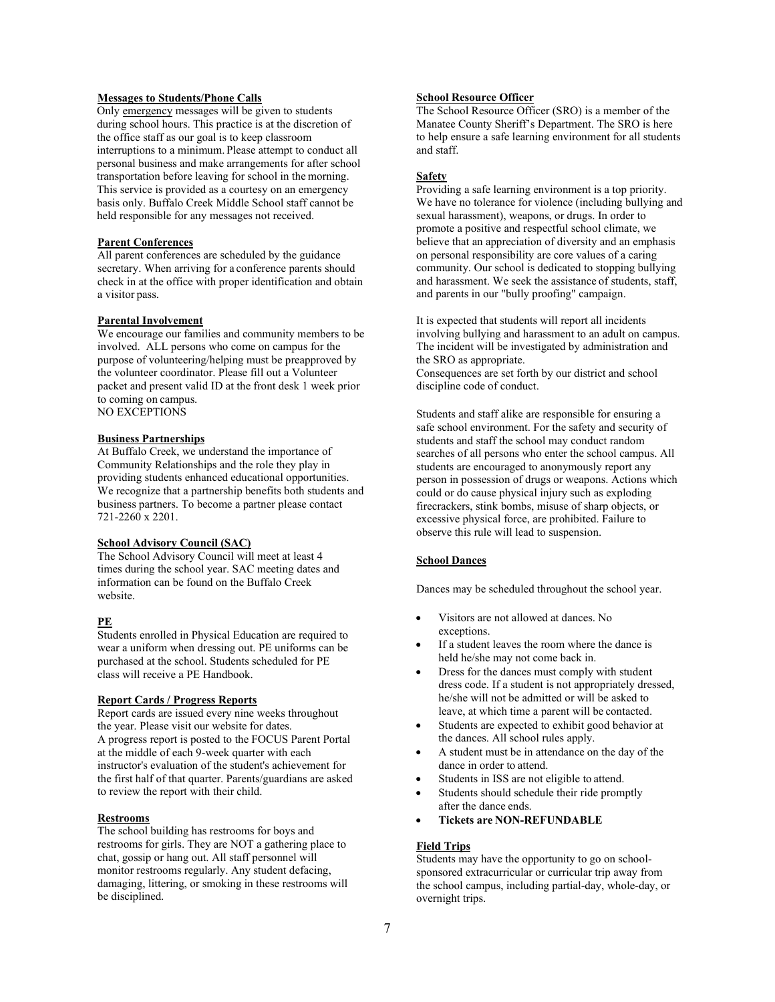# **Messages to Students/Phone Calls**

Only emergency messages will be given to students during school hours. This practice is at the discretion of the office staff as our goal is to keep classroom interruptions to a minimum. Please attempt to conduct all personal business and make arrangements for after school transportation before leaving for school in the morning. This service is provided as a courtesy on an emergency basis only. Buffalo Creek Middle School staff cannot be held responsible for any messages not received.

# **Parent Conferences**

All parent conferences are scheduled by the guidance secretary. When arriving for a conference parents should check in at the office with proper identification and obtain a visitor pass.

# **Parental Involvement**

We encourage our families and community members to be involved. ALL persons who come on campus for the purpose of volunteering/helping must be preapproved by the volunteer coordinator. Please fill out a Volunteer packet and present valid ID at the front desk 1 week prior to coming on campus. NO EXCEPTIONS

# **Business Partnerships**

At Buffalo Creek, we understand the importance of Community Relationships and the role they play in providing students enhanced educational opportunities. We recognize that a partnership benefits both students and business partners. To become a partner please contact 721-2260 x 2201.

# **School Advisory Council (SAC)**

The School Advisory Council will meet at least 4 times during the school year. SAC meeting dates and information can be found on the Buffalo Creek website.

# **PE**

Students enrolled in Physical Education are required to wear a uniform when dressing out. PE uniforms can be purchased at the school. Students scheduled for PE class will receive a PE Handbook.

#### **Report Cards / Progress Reports**

Report cards are issued every nine weeks throughout the year. Please visit our website for dates. A progress report is posted to the FOCUS Parent Portal at the middle of each 9-week quarter with each instructor's evaluation of the student's achievement for the first half of that quarter. Parents/guardians are asked to review the report with their child.

#### **Restrooms**

The school building has restrooms for boys and restrooms for girls. They are NOT a gathering place to chat, gossip or hang out. All staff personnel will monitor restrooms regularly. Any student defacing, damaging, littering, or smoking in these restrooms will be disciplined.

# **School Resource Officer**

The School Resource Officer (SRO) is a member of the Manatee County Sheriff's Department. The SRO is here to help ensure a safe learning environment for all students and staff.

# **Safety**

Providing a safe learning environment is a top priority. We have no tolerance for violence (including bullying and sexual harassment), weapons, or drugs. In order to promote a positive and respectful school climate, we believe that an appreciation of diversity and an emphasis on personal responsibility are core values of a caring community. Our school is dedicated to stopping bullying and harassment. We seek the assistance of students, staff, and parents in our "bully proofing" campaign.

It is expected that students will report all incidents involving bullying and harassment to an adult on campus. The incident will be investigated by administration and the SRO as appropriate.

Consequences are set forth by our district and school discipline code of conduct.

Students and staff alike are responsible for ensuring a safe school environment. For the safety and security of students and staff the school may conduct random searches of all persons who enter the school campus. All students are encouraged to anonymously report any person in possession of drugs or weapons. Actions which could or do cause physical injury such as exploding firecrackers, stink bombs, misuse of sharp objects, or excessive physical force, are prohibited. Failure to observe this rule will lead to suspension.

# **School Dances**

Dances may be scheduled throughout the school year.

- Visitors are not allowed at dances. No exceptions.
- If a student leaves the room where the dance is held he/she may not come back in.
- Dress for the dances must comply with student dress code. If a student is not appropriately dressed, he/she will not be admitted or will be asked to leave, at which time a parent will be contacted.
- Students are expected to exhibit good behavior at the dances. All school rules apply.
- A student must be in attendance on the day of the dance in order to attend.
- Students in ISS are not eligible to attend.
- Students should schedule their ride promptly after the dance ends.
- **Tickets are NON-REFUNDABLE**

### **Field Trips**

Students may have the opportunity to go on schoolsponsored extracurricular or curricular trip away from the school campus, including partial-day, whole-day, or overnight trips.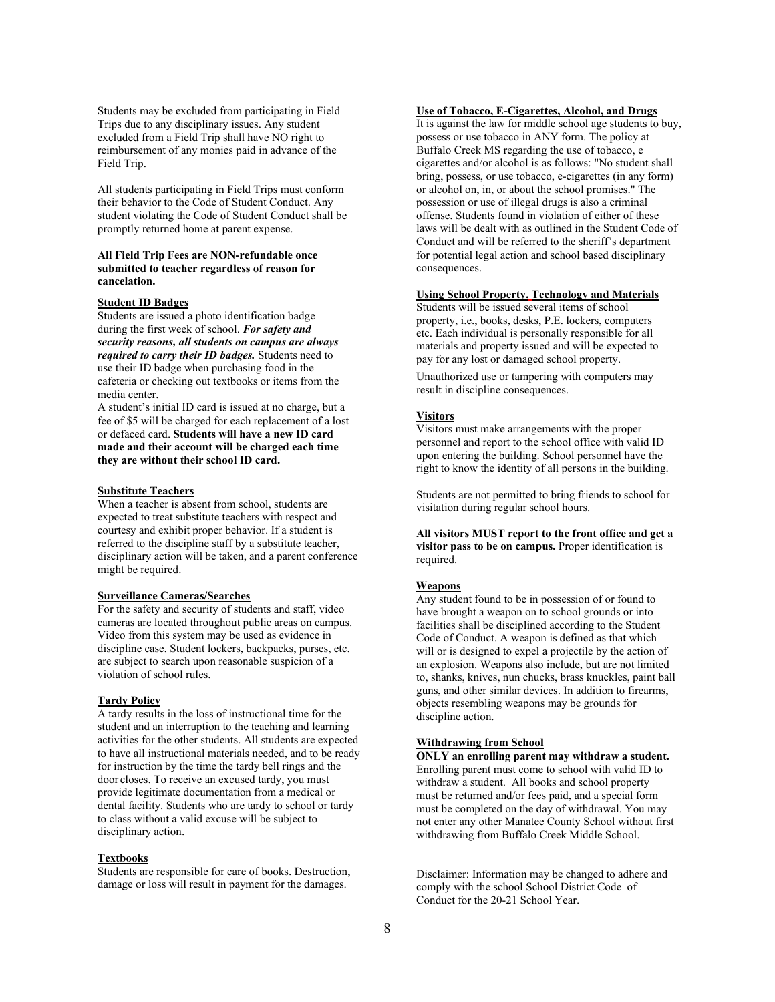Students may be excluded from participating in Field Trips due to any disciplinary issues. Any student excluded from a Field Trip shall have NO right to reimbursement of any monies paid in advance of the Field Trip.

All students participating in Field Trips must conform their behavior to the Code of Student Conduct. Any student violating the Code of Student Conduct shall be promptly returned home at parent expense.

### **All Field Trip Fees are NON-refundable once submitted to teacher regardless of reason for cancelation.**

#### **Student ID Badges**

Students are issued a photo identification badge during the first week of school. *For safety and security reasons, all students on campus are always required to carry their ID badges.* Students need to use their ID badge when purchasing food in the cafeteria or checking out textbooks or items from the media center.

A student's initial ID card is issued at no charge, but a fee of \$5 will be charged for each replacement of a lost or defaced card. **Students will have a new ID card made and their account will be charged each time they are without their school ID card.**

### **Substitute Teachers**

When a teacher is absent from school, students are expected to treat substitute teachers with respect and courtesy and exhibit proper behavior. If a student is referred to the discipline staff by a substitute teacher, disciplinary action will be taken, and a parent conference might be required.

#### **Surveillance Cameras/Searches**

For the safety and security of students and staff, video cameras are located throughout public areas on campus. Video from this system may be used as evidence in discipline case. Student lockers, backpacks, purses, etc. are subject to search upon reasonable suspicion of a violation of school rules.

#### **Tardy Policy**

A tardy results in the loss of instructional time for the student and an interruption to the teaching and learning activities for the other students. All students are expected to have all instructional materials needed, and to be ready for instruction by the time the tardy bell rings and the door closes. To receive an excused tardy, you must provide legitimate documentation from a medical or dental facility. Students who are tardy to school or tardy to class without a valid excuse will be subject to disciplinary action.

### **Textbooks**

Students are responsible for care of books. Destruction, damage or loss will result in payment for the damages.

# **Use of Tobacco, E-Cigarettes, Alcohol, and Drugs**

It is against the law for middle school age students to buy, possess or use tobacco in ANY form. The policy at Buffalo Creek MS regarding the use of tobacco, e cigarettes and/or alcohol is as follows: "No student shall bring, possess, or use tobacco, e-cigarettes (in any form) or alcohol on, in, or about the school promises." The possession or use of illegal drugs is also a criminal offense. Students found in violation of either of these laws will be dealt with as outlined in the Student Code of Conduct and will be referred to the sheriff's department for potential legal action and school based disciplinary consequences.

# **Using School Property, Technology and Materials**

Students will be issued several items of school property, i.e., books, desks, P.E. lockers, computers etc. Each individual is personally responsible for all materials and property issued and will be expected to pay for any lost or damaged school property.

Unauthorized use or tampering with computers may result in discipline consequences.

# **Visitors**

Visitors must make arrangements with the proper personnel and report to the school office with valid ID upon entering the building. School personnel have the right to know the identity of all persons in the building.

Students are not permitted to bring friends to school for visitation during regular school hours.

**All visitors MUST report to the front office and get a visitor pass to be on campus.** Proper identification is required.

# **Weapons**

Any student found to be in possession of or found to have brought a weapon on to school grounds or into facilities shall be disciplined according to the Student Code of Conduct. A weapon is defined as that which will or is designed to expel a projectile by the action of an explosion. Weapons also include, but are not limited to, shanks, knives, nun chucks, brass knuckles, paint ball guns, and other similar devices. In addition to firearms, objects resembling weapons may be grounds for discipline action.

# **Withdrawing from School**

**ONLY an enrolling parent may withdraw a student.**  Enrolling parent must come to school with valid ID to withdraw a student. All books and school property must be returned and/or fees paid, and a special form must be completed on the day of withdrawal. You may not enter any other Manatee County School without first withdrawing from Buffalo Creek Middle School.

Disclaimer: Information may be changed to adhere and comply with the school School District Code of Conduct for the 20-21 School Year.